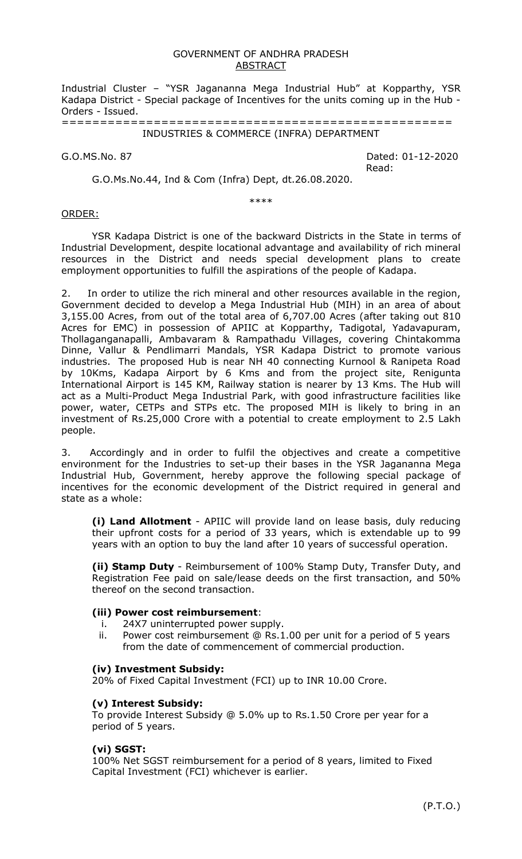#### GOVERNMENT OF ANDHRA PRADESH ABSTRACT

Industrial Cluster – "YSR Jagananna Mega Industrial Hub" at Kopparthy, YSR Kadapa District - Special package of Incentives for the units coming up in the Hub - Orders - Issued.

===================================================

# INDUSTRIES & COMMERCE (INFRA) DEPARTMENT

G.O.MS.No. 87 Dated: 01-12-2020 Read:

G.O.Ms.No.44, Ind & Com (Infra) Dept, dt.26.08.2020.

\*\*\*\*

#### ORDER:

YSR Kadapa District is one of the backward Districts in the State in terms of Industrial Development, despite locational advantage and availability of rich mineral resources in the District and needs special development plans to create employment opportunities to fulfill the aspirations of the people of Kadapa.

2. In order to utilize the rich mineral and other resources available in the region, Government decided to develop a Mega Industrial Hub (MIH) in an area of about 3,155.00 Acres, from out of the total area of 6,707.00 Acres (after taking out 810 Acres for EMC) in possession of APIIC at Kopparthy, Tadigotal, Yadavapuram, Thollaganganapalli, Ambavaram & Rampathadu Villages, covering Chintakomma Dinne, Vallur & Pendlimarri Mandals, YSR Kadapa District to promote various industries. The proposed Hub is near NH 40 connecting Kurnool & Ranipeta Road by 10Kms, Kadapa Airport by 6 Kms and from the project site, Renigunta International Airport is 145 KM, Railway station is nearer by 13 Kms. The Hub will act as a Multi-Product Mega Industrial Park, with good infrastructure facilities like power, water, CETPs and STPs etc. The proposed MIH is likely to bring in an investment of Rs.25,000 Crore with a potential to create employment to 2.5 Lakh people.

3. Accordingly and in order to fulfil the objectives and create a competitive environment for the Industries to set-up their bases in the YSR Jagananna Mega Industrial Hub, Government, hereby approve the following special package of incentives for the economic development of the District required in general and state as a whole:

**(i) Land Allotment** - APIIC will provide land on lease basis, duly reducing their upfront costs for a period of 33 years, which is extendable up to 99 years with an option to buy the land after 10 years of successful operation.

**(ii) Stamp Duty** - Reimbursement of 100% Stamp Duty, Transfer Duty, and Registration Fee paid on sale/lease deeds on the first transaction, and 50% thereof on the second transaction.

# **(iii) Power cost reimbursement**:

- i. 24X7 uninterrupted power supply.
- ii. Power cost reimbursement @ Rs.1.00 per unit for a period of 5 years from the date of commencement of commercial production.

#### **(iv) Investment Subsidy:**

20% of Fixed Capital Investment (FCI) up to INR 10.00 Crore.

# **(v) Interest Subsidy:**

To provide Interest Subsidy @ 5.0% up to Rs.1.50 Crore per year for a period of 5 years.

# **(vi) SGST:**

100% Net SGST reimbursement for a period of 8 years, limited to Fixed Capital Investment (FCI) whichever is earlier.